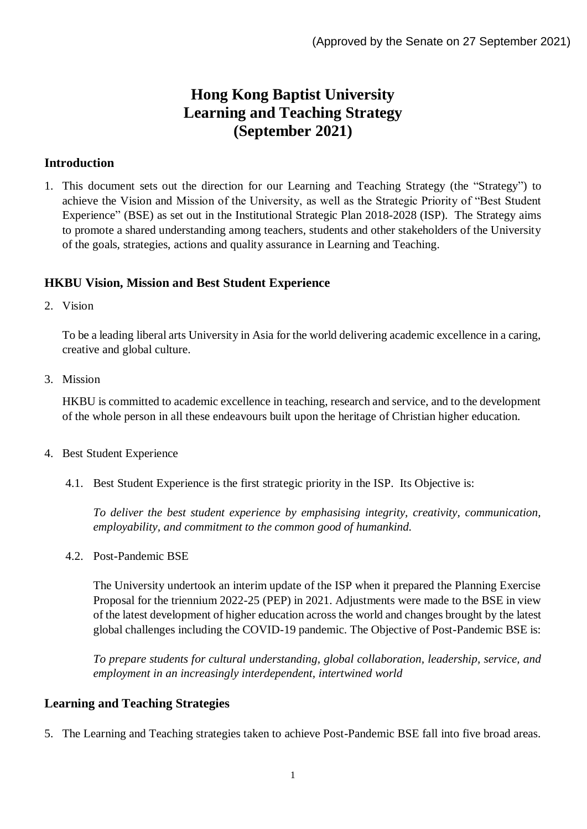# **Hong Kong Baptist University Learning and Teaching Strategy (September 2021)**

## **Introduction**

1. This document sets out the direction for our Learning and Teaching Strategy (the "Strategy") to achieve the Vision and Mission of the University, as well as the Strategic Priority of "Best Student Experience" (BSE) as set out in the Institutional Strategic Plan 2018-2028 (ISP). The Strategy aims to promote a shared understanding among teachers, students and other stakeholders of the University of the goals, strategies, actions and quality assurance in Learning and Teaching.

# **HKBU Vision, Mission and Best Student Experience**

2. Vision

To be a leading liberal arts University in Asia for the world delivering academic excellence in a caring, creative and global culture.

3. Mission

HKBU is committed to academic excellence in teaching, research and service, and to the development of the whole person in all these endeavours built upon the heritage of Christian higher education.

- 4. Best Student Experience
	- 4.1. Best Student Experience is the first strategic priority in the ISP. Its Objective is:

*To deliver the best student experience by emphasising integrity, creativity, communication, employability, and commitment to the common good of humankind.*

4.2. Post-Pandemic BSE

The University undertook an interim update of the ISP when it prepared the Planning Exercise Proposal for the triennium 2022-25 (PEP) in 2021. Adjustments were made to the BSE in view of the latest development of higher education across the world and changes brought by the latest global challenges including the COVID-19 pandemic. The Objective of Post-Pandemic BSE is:

*To prepare students for cultural understanding, global collaboration, leadership, service, and employment in an increasingly interdependent, intertwined world*

# **Learning and Teaching Strategies**

5. The Learning and Teaching strategies taken to achieve Post-Pandemic BSE fall into five broad areas.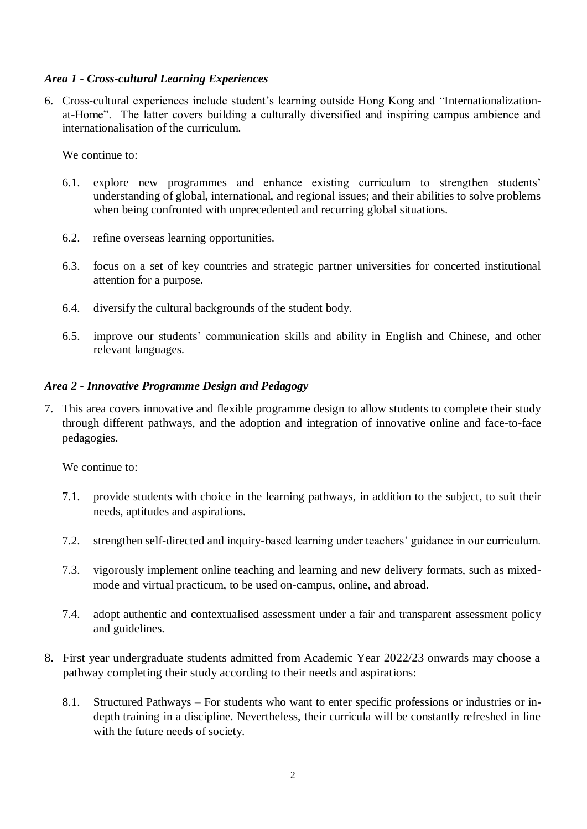## *Area 1 - Cross-cultural Learning Experiences*

6. Cross-cultural experiences include student's learning outside Hong Kong and "Internationalizationat-Home". The latter covers building a culturally diversified and inspiring campus ambience and internationalisation of the curriculum.

We continue to:

- 6.1. explore new programmes and enhance existing curriculum to strengthen students' understanding of global, international, and regional issues; and their abilities to solve problems when being confronted with unprecedented and recurring global situations.
- 6.2. refine overseas learning opportunities.
- 6.3. focus on a set of key countries and strategic partner universities for concerted institutional attention for a purpose.
- 6.4. diversify the cultural backgrounds of the student body.
- 6.5. improve our students' communication skills and ability in English and Chinese, and other relevant languages.

#### *Area 2 - Innovative Programme Design and Pedagogy*

7. This area covers innovative and flexible programme design to allow students to complete their study through different pathways, and the adoption and integration of innovative online and face-to-face pedagogies.

We continue to:

- 7.1. provide students with choice in the learning pathways, in addition to the subject, to suit their needs, aptitudes and aspirations.
- 7.2. strengthen self-directed and inquiry-based learning under teachers' guidance in our curriculum.
- 7.3. vigorously implement online teaching and learning and new delivery formats, such as mixedmode and virtual practicum, to be used on-campus, online, and abroad.
- 7.4. adopt authentic and contextualised assessment under a fair and transparent assessment policy and guidelines.
- 8. First year undergraduate students admitted from Academic Year 2022/23 onwards may choose a pathway completing their study according to their needs and aspirations:
	- 8.1. Structured Pathways For students who want to enter specific professions or industries or indepth training in a discipline. Nevertheless, their curricula will be constantly refreshed in line with the future needs of society.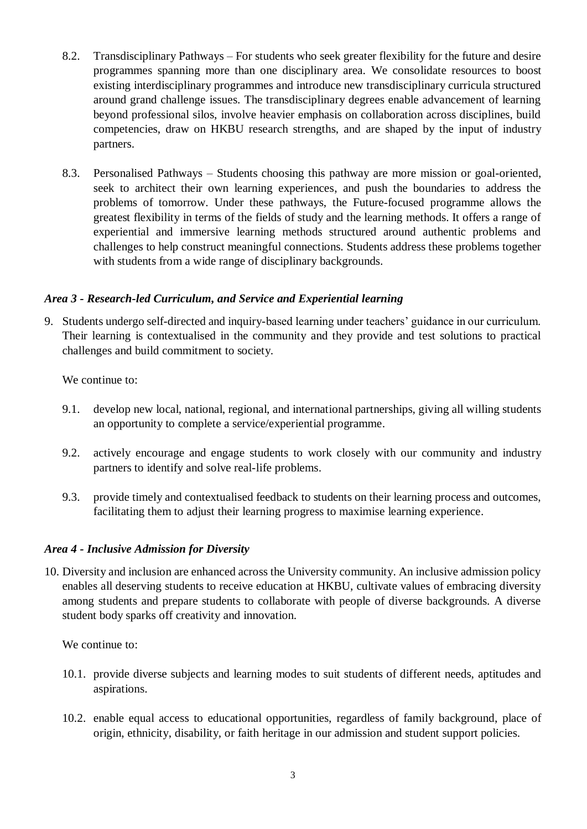- 8.2. Transdisciplinary Pathways For students who seek greater flexibility for the future and desire programmes spanning more than one disciplinary area. We consolidate resources to boost existing interdisciplinary programmes and introduce new transdisciplinary curricula structured around grand challenge issues. The transdisciplinary degrees enable advancement of learning beyond professional silos, involve heavier emphasis on collaboration across disciplines, build competencies, draw on HKBU research strengths, and are shaped by the input of industry partners.
- 8.3. Personalised Pathways Students choosing this pathway are more mission or goal-oriented, seek to architect their own learning experiences, and push the boundaries to address the problems of tomorrow. Under these pathways, the Future-focused programme allows the greatest flexibility in terms of the fields of study and the learning methods. It offers a range of experiential and immersive learning methods structured around authentic problems and challenges to help construct meaningful connections. Students address these problems together with students from a wide range of disciplinary backgrounds.

## *Area 3 - Research-led Curriculum, and Service and Experiential learning*

9. Students undergo self-directed and inquiry-based learning under teachers' guidance in our curriculum. Their learning is contextualised in the community and they provide and test solutions to practical challenges and build commitment to society.

We continue to:

- 9.1. develop new local, national, regional, and international partnerships, giving all willing students an opportunity to complete a service/experiential programme.
- 9.2. actively encourage and engage students to work closely with our community and industry partners to identify and solve real-life problems.
- 9.3. provide timely and contextualised feedback to students on their learning process and outcomes, facilitating them to adjust their learning progress to maximise learning experience.

#### *Area 4 - Inclusive Admission for Diversity*

10. Diversity and inclusion are enhanced across the University community. An inclusive admission policy enables all deserving students to receive education at HKBU, cultivate values of embracing diversity among students and prepare students to collaborate with people of diverse backgrounds. A diverse student body sparks off creativity and innovation.

We continue to:

- 10.1. provide diverse subjects and learning modes to suit students of different needs, aptitudes and aspirations.
- 10.2. enable equal access to educational opportunities, regardless of family background, place of origin, ethnicity, disability, or faith heritage in our admission and student support policies.